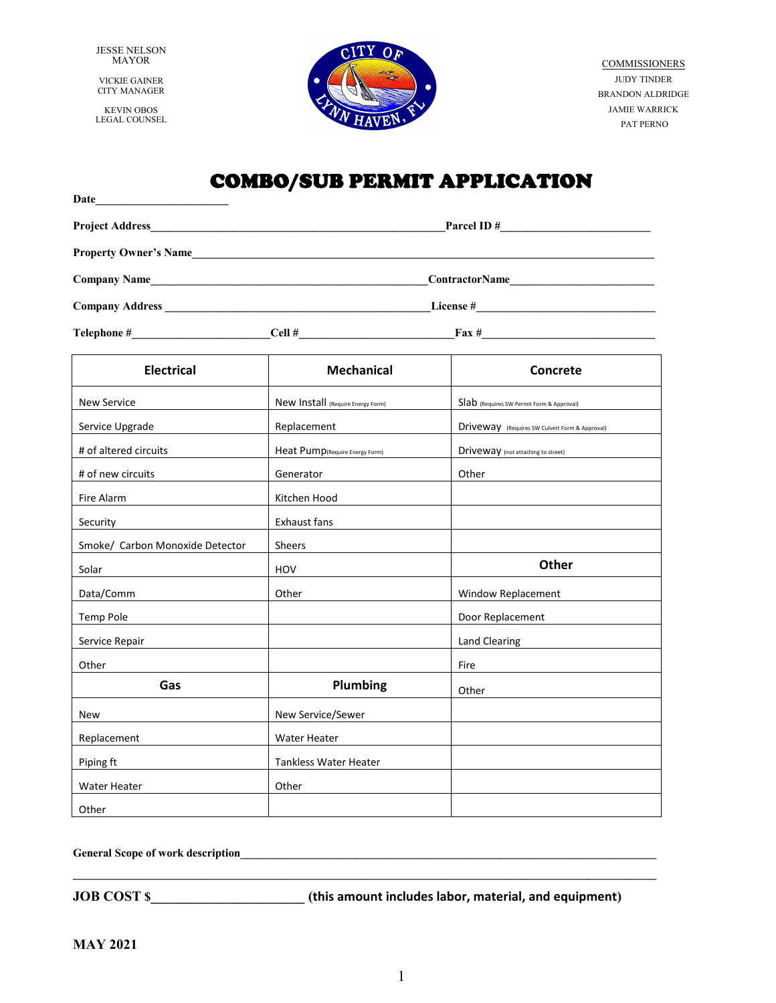JESSE NELSON MAYOR

VICKIE GAINER CITY MANAGER

KEVIN OBOS LEGAL COUNSEL



**COMMISSIONERS** JUDY TINDER BRANDON ALDRIDGE JAMIE WARRICK PAT PERNO

# COMBO/SUB PERMIT APPLICATION

| Date                            |                                   |                                                                                                                                                                                                                                                                                                                         |  |  |
|---------------------------------|-----------------------------------|-------------------------------------------------------------------------------------------------------------------------------------------------------------------------------------------------------------------------------------------------------------------------------------------------------------------------|--|--|
| Parcel ID $\#$                  |                                   |                                                                                                                                                                                                                                                                                                                         |  |  |
| Property Owner's Name           |                                   |                                                                                                                                                                                                                                                                                                                         |  |  |
|                                 |                                   |                                                                                                                                                                                                                                                                                                                         |  |  |
|                                 |                                   |                                                                                                                                                                                                                                                                                                                         |  |  |
|                                 |                                   | $\text{Cell } \#$ $\text{.}$ $\text{.}$ $\text{.}$ $\text{.}$ $\text{.}$ $\text{.}$ $\text{.}$ $\text{.}$ $\text{.}$ $\text{.}$ $\text{.}$ $\text{.}$ $\text{.}$ $\text{.}$ $\text{.}$ $\text{.}$ $\text{.}$ $\text{.}$ $\text{.}$ $\text{.}$ $\text{.}$ $\text{.}$ $\text{.}$ $\text{.}$ $\text{.}$ $\text{.}$ $\text$ |  |  |
| <b>Electrical</b>               | <b>Mechanical</b>                 | <b>Concrete</b>                                                                                                                                                                                                                                                                                                         |  |  |
| <b>New Service</b>              | New Install (Require Energy Form) | Slab (Requires SW Permit Form & Approval)                                                                                                                                                                                                                                                                               |  |  |
| Service Upgrade                 | Replacement                       | Driveway (Requires SW Culvert Form & Approval)                                                                                                                                                                                                                                                                          |  |  |
| # of altered circuits           | Heat Pump(Require Energy Form)    | Driveway (not attaching to street)                                                                                                                                                                                                                                                                                      |  |  |
| # of new circuits               | Generator                         | Other                                                                                                                                                                                                                                                                                                                   |  |  |
| Fire Alarm                      | Kitchen Hood                      |                                                                                                                                                                                                                                                                                                                         |  |  |
| Security                        | <b>Exhaust fans</b>               |                                                                                                                                                                                                                                                                                                                         |  |  |
| Smoke/ Carbon Monoxide Detector | <b>Sheers</b>                     |                                                                                                                                                                                                                                                                                                                         |  |  |
| Solar                           | HOV                               | <b>Other</b>                                                                                                                                                                                                                                                                                                            |  |  |
| Data/Comm                       | Other                             | Window Replacement                                                                                                                                                                                                                                                                                                      |  |  |
| Temp Pole                       |                                   | Door Replacement                                                                                                                                                                                                                                                                                                        |  |  |
| Service Repair                  |                                   | <b>Land Clearing</b>                                                                                                                                                                                                                                                                                                    |  |  |
| Other                           |                                   | Fire                                                                                                                                                                                                                                                                                                                    |  |  |
| Gas                             | Plumbing                          | Other                                                                                                                                                                                                                                                                                                                   |  |  |
| <b>New</b>                      | New Service/Sewer                 |                                                                                                                                                                                                                                                                                                                         |  |  |
| Replacement                     | <b>Water Heater</b>               |                                                                                                                                                                                                                                                                                                                         |  |  |
| Piping ft                       | <b>Tankless Water Heater</b>      |                                                                                                                                                                                                                                                                                                                         |  |  |
| <b>Water Heater</b>             | Other                             |                                                                                                                                                                                                                                                                                                                         |  |  |
| Other                           |                                   |                                                                                                                                                                                                                                                                                                                         |  |  |

General Scope of work description\_

**JOB COST \$\_\_\_\_\_\_\_\_\_\_\_\_\_\_\_\_\_\_\_\_\_\_ (this amount includes labor, material, and equipment)** 

**\_\_\_\_\_\_\_\_\_\_\_\_\_\_\_\_\_\_\_\_\_\_\_\_\_\_\_\_\_\_\_\_\_\_\_\_\_\_\_\_\_\_\_\_\_\_\_\_\_\_\_\_\_\_\_\_\_\_\_\_\_\_\_\_\_\_\_\_\_\_\_\_\_\_\_\_\_\_\_\_\_\_\_\_\_\_\_\_\_\_\_\_\_\_\_\_\_\_\_\_\_**